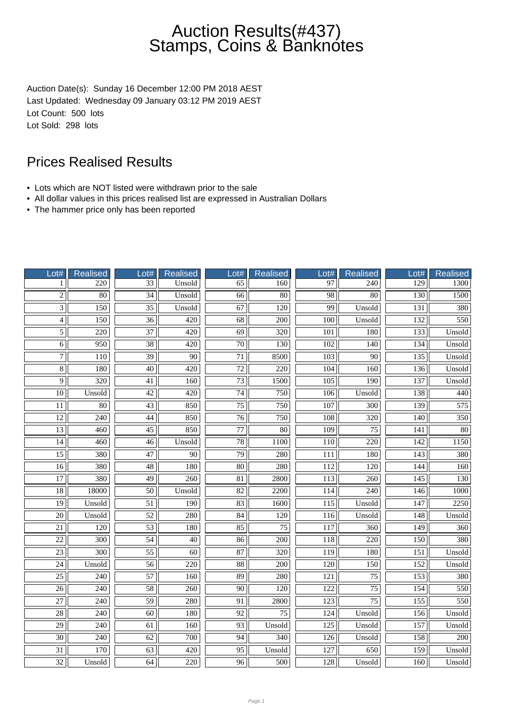Auction Date(s): Sunday 16 December 12:00 PM 2018 AEST Last Updated: Wednesday 09 January 03:12 PM 2019 AEST Lot Count: 500 lots Lot Sold: 298 lots

- Lots which are NOT listed were withdrawn prior to the sale
- All dollar values in this prices realised list are expressed in Australian Dollars
- The hammer price only has been reported

| Lot#            | Realised         | Lot#            | <b>Realised</b>  | Lot#            | <b>Realised</b>  | Lot#             | Realised         | Lot#             | <b>Realised</b> |
|-----------------|------------------|-----------------|------------------|-----------------|------------------|------------------|------------------|------------------|-----------------|
| 1               | 220              | $\overline{33}$ | Unsold           | 65              | 160              | 97               | 240              | 129              | 1300            |
| $\overline{2}$  | $\overline{80}$  | $\overline{34}$ | Unsold           | $\overline{66}$ | $\overline{80}$  | $\overline{98}$  | $\overline{80}$  | 130              | 1500            |
| $\overline{3}$  | 150              | $\overline{35}$ | Unsold           | 67              | $\overline{120}$ | 99               | Unsold           | 131              | 380             |
| $\overline{4}$  | 150              | $\overline{36}$ | 420              | $\overline{68}$ | 200              | 100              | Unsold           | 132              | 550             |
| $\overline{5}$  | 220              | 37              | 420              | 69              | 320              | 101              | 180              | 133              | Unsold          |
| $\overline{6}$  | 950              | $\overline{38}$ | $\overline{420}$ | $\overline{70}$ | 130              | $\overline{102}$ | 140              | 134              | Unsold          |
| $\overline{7}$  | 110              | 39              | 90               | 71              | 8500             | 103              | $\overline{90}$  | 135              | Unsold          |
| $\overline{8}$  | 180              | $\overline{40}$ | $\overline{420}$ | $\overline{72}$ | $\overline{220}$ | 104              | 160              | 136              | Unsold          |
| $\overline{9}$  | $\overline{320}$ | $\overline{41}$ | 160              | $\overline{73}$ | 1500             | 105              | 190              | 137              | Unsold          |
| 10              | Unsold           | 42              | 420              | 74              | 750              | 106              | Unsold           | 138              | 440             |
| 11              | 80               | 43              | 850              | 75              | 750              | 107              | 300              | 139              | 575             |
| $\overline{12}$ | $\overline{240}$ | 44              | 850              | $\overline{76}$ | 750              | 108              | $\overline{320}$ | 140              | 350             |
| $\overline{13}$ | 460              | $\overline{45}$ | 850              | $\overline{77}$ | $\overline{80}$  | 109              | $\overline{75}$  | 141              | $\overline{80}$ |
| 14              | 460              | $\overline{46}$ | Unsold           | 78              | 1100             | 110              | $\overline{220}$ | 142              | 1150            |
| $\overline{15}$ | 380              | 47              | $\overline{90}$  | $\overline{79}$ | 280              | 111              | 180              | $\overline{143}$ | 380             |
| 16              | 380              | 48              | 180              | 80              | 280              | 112              | 120              | 144              | 160             |
| $\overline{17}$ | 380              | $\overline{49}$ | $\overline{260}$ | $\overline{81}$ | 2800             | $\overline{113}$ | $\overline{260}$ | 145              | 130             |
| $\overline{18}$ | 18000            | 50              | Unsold           | 82              | 2200             | 114              | 240              | 146              | 1000            |
| $\overline{19}$ | Unsold           | $\overline{51}$ | 190              | 83              | 1600             | 115              | Unsold           | 147              | 2250            |
| $\overline{20}$ | Unsold           | 52              | 280              | 84              | 120              | 116              | Unsold           | 148              | Unsold          |
| 21              | 120              | 53              | 180              | $\overline{85}$ | 75               | 117              | 360              | 149              | 360             |
| $\overline{22}$ | $\overline{300}$ | $\overline{54}$ | $\overline{40}$  | $\overline{86}$ | $\overline{200}$ | $\overline{118}$ | $\overline{220}$ | $\overline{150}$ | 380             |
| $\overline{23}$ | $\overline{300}$ | $\overline{55}$ | $\overline{60}$  | $\overline{87}$ | $\overline{320}$ | $\overline{119}$ | 180              | 151              | Unsold          |
| $\overline{24}$ | Unsold           | $\overline{56}$ | $\overline{220}$ | $\overline{88}$ | $\overline{200}$ | $\overline{120}$ | 150              | 152              | Unsold          |
| $\overline{25}$ | 240              | 57              | 160              | 89              | 280              | 121              | 75               | 153              | 380             |
| $\overline{26}$ | 240              | $\overline{58}$ | 260              | $\overline{90}$ | 120              | 122              | $\overline{75}$  | 154              | 550             |
| $\overline{27}$ | 240              | 59              | 280              | 91              | 2800             | 123              | 75               | 155              | 550             |
| $\overline{28}$ | $\overline{240}$ | $\overline{60}$ | 180              | $\overline{92}$ | $\overline{75}$  | 124              | Unsold           | 156              | Unsold          |
| 29              | 240              | 61              | 160              | 93              | Unsold           | 125              | Unsold           | 157              | Unsold          |
| $\overline{30}$ | $\overline{240}$ | 62              | 700              | 94              | 340              | 126              | Unsold           | 158              | 200             |
| 31              | 170              | 63              | 420              | 95              | Unsold           | 127              | 650              | 159              | Unsold          |
| 32              | Unsold           | 64              | 220              | 96              | 500              | 128              | Unsold           | 160              | Unsold          |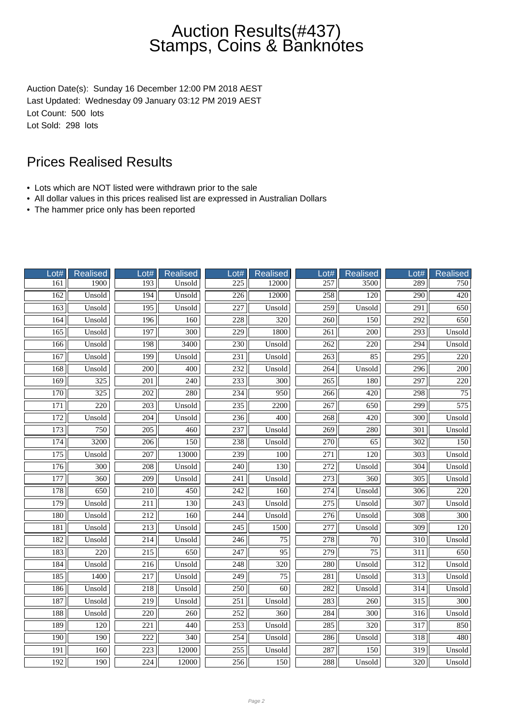Auction Date(s): Sunday 16 December 12:00 PM 2018 AEST Last Updated: Wednesday 09 January 03:12 PM 2019 AEST Lot Count: 500 lots Lot Sold: 298 lots

- Lots which are NOT listed were withdrawn prior to the sale
- All dollar values in this prices realised list are expressed in Australian Dollars
- The hammer price only has been reported

| Lot#             | Realised         | Lot#             | <b>Realised</b>  | Lot#             | <b>Realised</b>  | $_0$ ot#         | Realised         | Lot#             | <b>Realised</b>  |
|------------------|------------------|------------------|------------------|------------------|------------------|------------------|------------------|------------------|------------------|
| 161              | 1900             | 193              | Unsold           | $\overline{225}$ | 12000            | 257              | 3500             | 289              | 750              |
| 162              | Unsold           | 194              | Unsold           | $\overline{226}$ | 12000            | 258              | 120              | $\overline{290}$ | 420              |
| 163              | Unsold           | 195              | Unsold           | 227              | Unsold           | 259              | Unsold           | 291              | 650              |
| 164              | Unsold           | 196              | 160              | 228              | 320              | 260              | 150              | $\overline{292}$ | 650              |
| 165              | Unsold           | 197              | 300              | 229              | 1800             | 261              | 200              | 293              | Unsold           |
| 166              | Unsold           | 198              | 3400             | 230              | Unsold           | $\overline{262}$ | 220              | $\overline{294}$ | Unsold           |
| 167              | Unsold           | 199              | Unsold           | 231              | Unsold           | 263              | 85               | $\overline{295}$ | 220              |
| 168              | Unsold           | $\overline{200}$ | $\overline{400}$ | 232              | Unsold           | 264              | Unsold           | 296              | $\overline{200}$ |
| 169              | 325              | 201              | 240              | 233              | 300              | 265              | 180              | 297              | 220              |
| 170              | 325              | 202              | 280              | 234              | 950              | 266              | 420              | 298              | 75               |
| 171              | 220              | 203              | Unsold           | 235              | 2200             | 267              | 650              | 299              | 575              |
| 172              | Unsold           | $\overline{204}$ | Unsold           | 236              | 400              | 268              | $\overline{420}$ | 300              | Unsold           |
| 173              | 750              | $\overline{205}$ | $\overline{460}$ | 237              | Unsold           | $\overline{269}$ | 280              | $\overline{301}$ | Unsold           |
| 174              | 3200             | 206              | 150              | 238              | Unsold           | 270              | 65               | 302              | 150              |
| $\overline{175}$ | Unsold           | 207              | 13000            | 239              | 100              | $\overline{271}$ | 120              | $\overline{303}$ | Unsold           |
| 176              | 300              | 208              | Unsold           | 240              | 130              | 272              | Unsold           | 304              | Unsold           |
| 177              | 360              | $\overline{209}$ | Unsold           | 241              | Unsold           | $\overline{273}$ | $\overline{360}$ | $\overline{305}$ | Unsold           |
| 178              | 650              | 210              | 450              | 242              | 160              | 274              | Unsold           | 306              | 220              |
| 179              | Unsold           | $\overline{211}$ | 130              | $\overline{243}$ | Unsold           | 275              | Unsold           | $\overline{307}$ | Unsold           |
| 180              | Unsold           | 212              | 160              | 244              | Unsold           | 276              | Unsold           | 308              | 300              |
| 181              | Unsold           | 213              | Unsold           | 245              | 1500             | 277              | Unsold           | 309              | 120              |
| 182              | Unsold           | 214              | Unsold           | 246              | $\overline{75}$  | $\overline{278}$ | $\overline{70}$  | $\overline{310}$ | Unsold           |
| 183              | $\overline{220}$ | $\overline{215}$ | 650              | $\overline{247}$ | $\overline{95}$  | $\overline{279}$ | $\overline{75}$  | $\overline{311}$ | 650              |
| 184              | Unsold           | $\overline{216}$ | Unsold           | 248              | $\overline{320}$ | 280              | Unsold           | $\overline{312}$ | Unsold           |
| 185              | 1400             | 217              | Unsold           | 249              | 75               | 281              | Unsold           | 313              | Unsold           |
| 186              | Unsold           | 218              | Unsold           | 250              | $\overline{60}$  | 282              | Unsold           | $\overline{314}$ | Unsold           |
| 187              | Unsold           | 219              | Unsold           | 251              | Unsold           | 283              | 260              | 315              | 300              |
| 188              | Unsold           | $\overline{220}$ | 260              | $\overline{252}$ | $\overline{360}$ | 284              | $\overline{300}$ | $\overline{316}$ | Unsold           |
| 189              | 120              | 221              | 440              | 253              | Unsold           | 285              | 320              | 317              | 850              |
| 190              | 190              | $\overline{222}$ | 340              | 254              | Unsold           | 286              | Unsold           | 318              | 480              |
| $\overline{191}$ | 160              | 223              | 12000            | 255              | Unsold           | 287              | 150              | 319              | Unsold           |
| 192              | 190              | 224              | 12000            | 256              | 150              | 288              | Unsold           | 320              | Unsold           |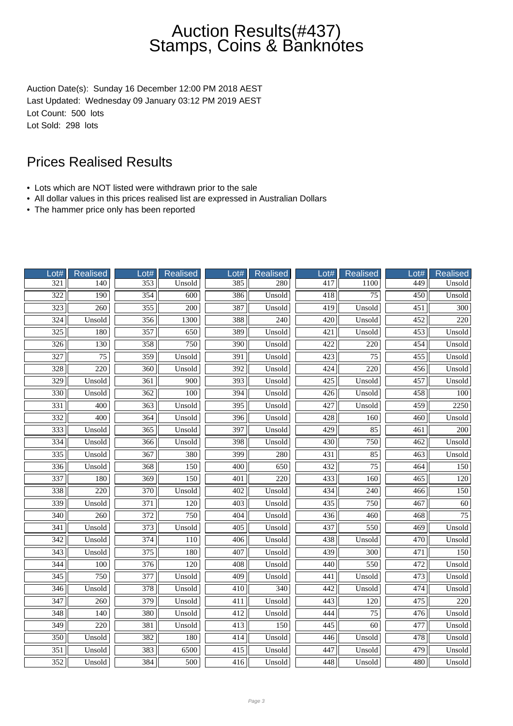Auction Date(s): Sunday 16 December 12:00 PM 2018 AEST Last Updated: Wednesday 09 January 03:12 PM 2019 AEST Lot Count: 500 lots Lot Sold: 298 lots

- Lots which are NOT listed were withdrawn prior to the sale
- All dollar values in this prices realised list are expressed in Australian Dollars
- The hammer price only has been reported

| Lot#             | <b>Realised</b>  | Lot#             | <b>Realised</b>  | Lot#             | <b>Realised</b>  | $_0$ t# | Realised         | Lot#             | <b>Realised</b>  |
|------------------|------------------|------------------|------------------|------------------|------------------|---------|------------------|------------------|------------------|
| 321              | 140              | 353              | Unsold           | 385              | 280              | 417     | 1100             | 449              | Unsold           |
| $\overline{322}$ | $\overline{190}$ | $\frac{354}{7}$  | 600              | 386              | Unsold           | 418     | $\overline{75}$  | $\overline{450}$ | Unsold           |
| $\overline{323}$ | 260              | 355              | $\overline{200}$ | 387              | Unsold           | 419     | Unsold           | $\overline{451}$ | $\overline{300}$ |
| $\frac{324}{ }$  | Unsold           | 356              | 1300             | 388              | 240              | 420     | Unsold           | 452              | 220              |
| 325              | 180              | 357              | 650              | 389              | Unsold           | 421     | Unsold           | 453              | Unsold           |
| 326              | 130              | 358              | 750              | 390              | Unsold           | 422     | 220              | 454              | Unsold           |
| 327              | 75               | 359              | Unsold           | 391              | Unsold           | 423     | 75               | 455              | Unsold           |
| 328              | $\overline{220}$ | $\overline{360}$ | Unsold           | $\overline{392}$ | Unsold           | 424     | $\overline{220}$ | 456              | Unsold           |
| 329              | Unsold           | 361              | 900              | 393              | Unsold           | 425     | Unsold           | 457              | Unsold           |
| 330              | Unsold           | 362              | 100              | 394              | Unsold           | 426     | Unsold           | 458              | 100              |
| 331              | 400              | 363              | Unsold           | 395              | Unsold           | 427     | Unsold           | 459              | 2250             |
| $\overline{332}$ | 400              | 364              | Unsold           | 396              | Unsold           | 428     | 160              | 460              | Unsold           |
| 333              | Unsold           | $\overline{365}$ | Unsold           | 397              | Unsold           | 429     | 85               | 461              | 200              |
| 334              | Unsold           | 366              | Unsold           | 398              | Unsold           | 430     | 750              | 462              | Unsold           |
| $\overline{335}$ | Unsold           | 367              | 380              | 399              | 280              | 431     | 85               | 463              | Unsold           |
| 336              | Unsold           | 368              | 150              | 400              | 650              | 432     | 75               | 464              | 150              |
| 337              | 180              | $\overline{369}$ | 150              | 401              | $\overline{220}$ | 433     | 160              | $\overline{465}$ | 120              |
| 338              | 220              | 370              | Unsold           | 402              | Unsold           | 434     | 240              | 466              | 150              |
| 339              | Unsold           | 371              | 120              | 403              | Unsold           | 435     | 750              | 467              | 60               |
| 340              | 260              | 372              | 750              | 404              | Unsold           | 436     | 460              | 468              | 75               |
| 341              | Unsold           | 373              | Unsold           | 405              | Unsold           | 437     | 550              | 469              | Unsold           |
| 342              | Unsold           | 374              | 110              | 406              | Unsold           | 438     | Unsold           | 470              | Unsold           |
| $\overline{343}$ | Unsold           | $\overline{375}$ | 180              | 407              | Unsold           | 439     | $\overline{300}$ | 471              | 150              |
| $\overline{344}$ | $\overline{100}$ | $\overline{376}$ | $\overline{120}$ | 408              | Unsold           | 440     | 550              | 472              | Unsold           |
| 345              | 750              | 377              | Unsold           | 409              | Unsold           | 441     | Unsold           | 473              | Unsold           |
| 346              | Unsold           | 378              | Unsold           | 410              | 340              | 442     | Unsold           | 474              | Unsold           |
| 347              | 260              | 379              | Unsold           | 411              | Unsold           | 443     | 120              | 475              | 220              |
| $\overline{348}$ | 140              | 380              | Unsold           | $\overline{412}$ | Unsold           | 444     | $\overline{75}$  | 476              | Unsold           |
| 349              | 220              | 381              | Unsold           | 413              | 150              | 445     | 60               | 477              | Unsold           |
| 350              | Unsold           | 382              | 180              | 414              | Unsold           | 446     | Unsold           | 478              | Unsold           |
| 351              | Unsold           | 383              | 6500             | 415              | Unsold           | 447     | Unsold           | 479              | Unsold           |
| 352              | Unsold           | 384              | 500              | 416              | Unsold           | 448     | Unsold           | 480              | Unsold           |